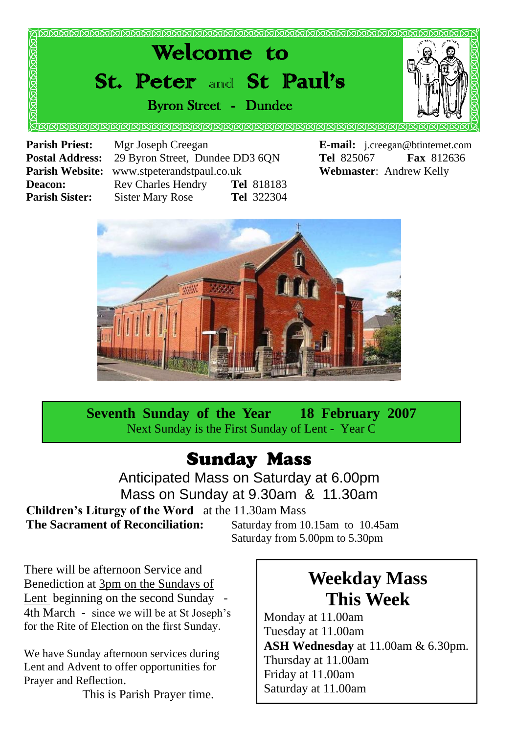

**Postal Address:** 29 Byron Street, Dundee DD3 6QN **Tel** 825067 **Fax** 812636 **Parish Website:** www.stpeterandstpaul.co.uk **Webmaster**: Andrew Kelly **Deacon:** Rev Charles Hendry **Tel** 818183 **Parish Sister:** Sister Mary Rose **Tel** 322304



**Seventh Sunday of the Year 18 February 2007** Next Sunday is the First Sunday of Lent - Year C

### Sunday Mass

Anticipated Mass on Saturday at 6.00pm Mass on Sunday at 9.30am & 11.30am **Children's Liturgy of the Word** at the 11.30am Mass

**The Sacrament of Reconciliation:** Saturday from 10.15am to 10.45am

Saturday from 5.00pm to 5.30pm

There will be afternoon Service and Benediction at 3pm on the Sundays of Lent beginning on the second Sunday 4th March - since we will be at St Joseph's for the Rite of Election on the first Sunday.

We have Sunday afternoon services during Lent and Advent to offer opportunities for Prayer and Reflection.

This is Parish Prayer time.

## **Weekday Mass This Week**

Monday at 11.00am Tuesday at 11.00am **ASH Wednesday** at 11.00am & 6.30pm. Thursday at 11.00am Friday at 11.00am Saturday at 11.00am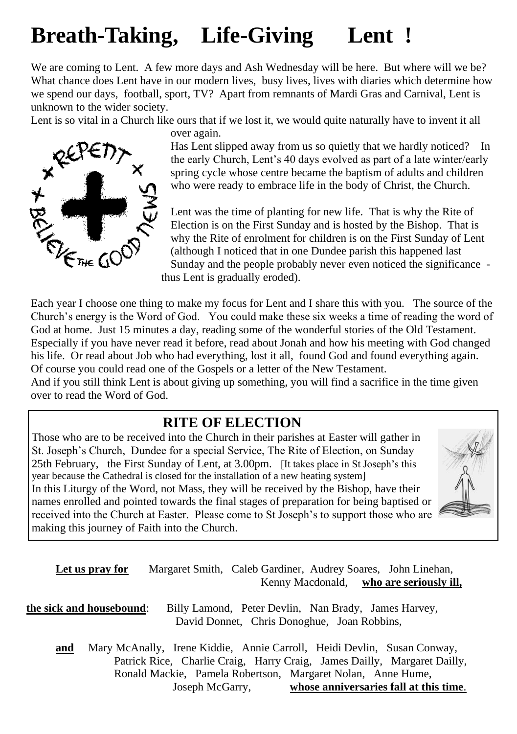## **Breath-Taking, Life-Giving Lent !**

We are coming to Lent. A few more days and Ash Wednesday will be here. But where will we be? What chance does Lent have in our modern lives, busy lives, lives with diaries which determine how we spend our days, football, sport, TV? Apart from remnants of Mardi Gras and Carnival, Lent is unknown to the wider society.

Lent is so vital in a Church like ours that if we lost it, we would quite naturally have to invent it all

over again.



Has Lent slipped away from us so quietly that we hardly noticed? In the early Church, Lent's 40 days evolved as part of a late winter/early spring cycle whose centre became the baptism of adults and children who were ready to embrace life in the body of Christ, the Church.

Lent was the time of planting for new life. That is why the Rite of Election is on the First Sunday and is hosted by the Bishop. That is why the Rite of enrolment for children is on the First Sunday of Lent (although I noticed that in one Dundee parish this happened last Sunday and the people probably never even noticed the significance thus Lent is gradually eroded). Each year I choose one thing to make my focus for Lent and I share this with you. The source of the Ready share The source of the source of the source of the source of the source of the source of the source of the source

Church's energy is the Word of God. You could make these six weeks a time of reading the word of God at home. Just 15 minutes a day, reading some of the wonderful stories of the Old Testament. Especially if you have never read it before, read about Jonah and how his meeting with God changed his life. Or read about Job who had everything, lost it all, found God and found everything again. Of course you could read one of the Gospels or a letter of the New Testament.

And if you still think Lent is about giving up something, you will find a sacrifice in the time given over to read the Word of God.

#### **RITE OF ELECTION**

Those who are to be received into the Church in their parishes at Easter will gather in St. Joseph's Church, Dundee for a special Service, The Rite of Election, on Sunday 25th February, the First Sunday of Lent, at 3.00pm. [It takes place in St Joseph's this year because the Cathedral is closed for the installation of a new heating system] In this Liturgy of the Word, not Mass, they will be received by the Bishop, have their names enrolled and pointed towards the final stages of preparation for being baptised or received into the Church at Easter. Please come to St Joseph's to support those who are making this journey of Faith into the Church.



**Let us pray for** Margaret Smith, Caleb Gardiner, Audrey Soares, John Linehan, Kenny Macdonald, **who are seriously ill,**

**the sick and housebound**: Billy Lamond, Peter Devlin, Nan Brady, James Harvey, David Donnet, Chris Donoghue, Joan Robbins,

**and** Mary McAnally, Irene Kiddie, Annie Carroll, Heidi Devlin, Susan Conway, Patrick Rice, Charlie Craig, Harry Craig, James Dailly, Margaret Dailly, Ronald Mackie, Pamela Robertson, Margaret Nolan, Anne Hume, Joseph McGarry, **whose anniversaries fall at this time**.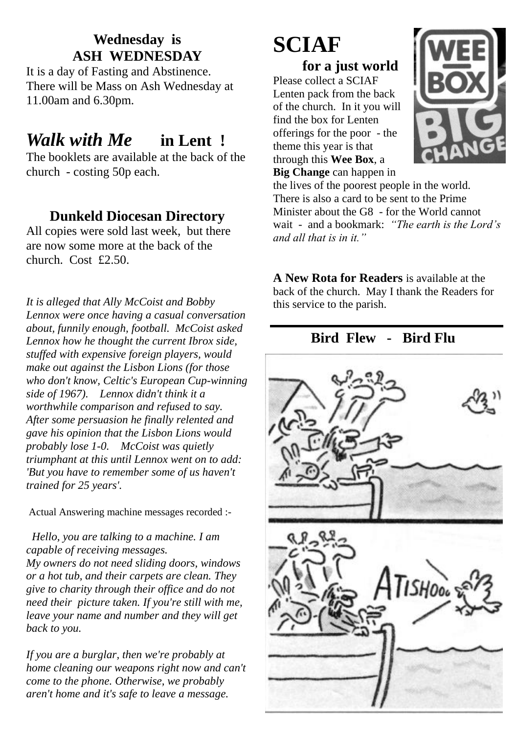#### **Wednesday is ASH WEDNESDAY**

It is a day of Fasting and Abstinence. There will be Mass on Ash Wednesday at 11.00am and 6.30pm.

### *Walk with Me* **in Lent !**

The booklets are available at the back of the church - costing 50p each.

#### **Dunkeld Diocesan Directory**

All copies were sold last week, but there are now some more at the back of the church. Cost £2.50.

*It is alleged that Ally McCoist and Bobby Lennox were once having a casual conversation about, funnily enough, football. McCoist asked Lennox how he thought the current Ibrox side, stuffed with expensive foreign players, would make out against the Lisbon Lions (for those who don't know, Celtic's European Cup-winning side of 1967). Lennox didn't think it a worthwhile comparison and refused to say. After some persuasion he finally relented and gave his opinion that the Lisbon Lions would probably lose 1-0. McCoist was quietly triumphant at this until Lennox went on to add: 'But you have to remember some of us haven't trained for 25 years'.*

Actual Answering machine messages recorded :-

 *Hello, you are talking to a machine. I am capable of receiving messages. My owners do not need sliding doors, windows or a hot tub, and their carpets are clean. They give to charity through their office and do not need their picture taken. If you're still with me, leave your name and number and they will get back to you.*

*If you are a burglar, then we're probably at home cleaning our weapons right now and can't come to the phone. Otherwise, we probably aren't home and it's safe to leave a message.*

# **SCIAF**

**for a just world** Please collect a SCIAF Lenten pack from the back of the church. In it you will find the box for Lenten offerings for the poor - the theme this year is that through this **Wee Box**, a **Big Change** can happen in



the lives of the poorest people in the world. There is also a card to be sent to the Prime Minister about the G8 - for the World cannot wait - and a bookmark: *"The earth is the Lord's and all that is in it."*

**A New Rota for Readers** is available at the back of the church. May I thank the Readers for this service to the parish.